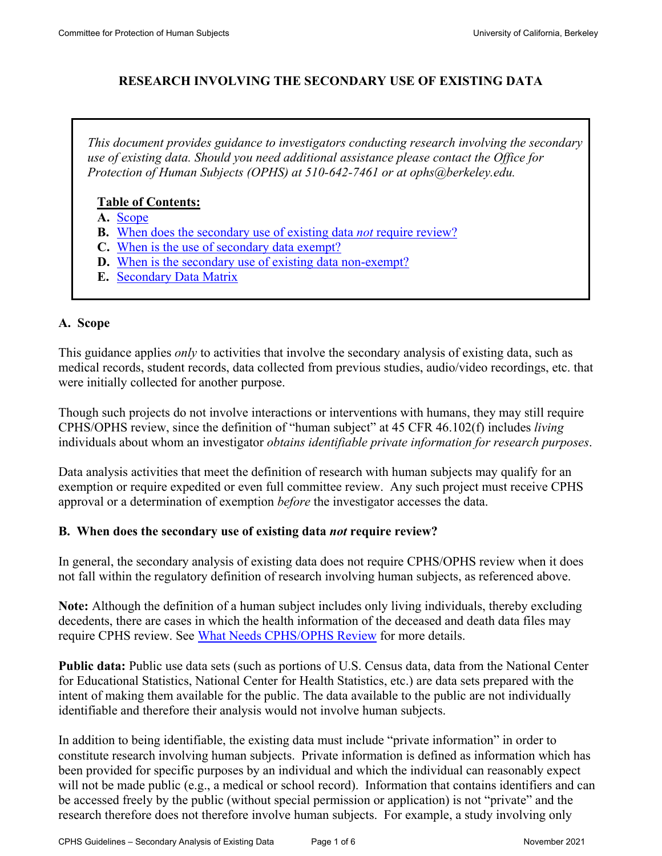## **RESEARCH INVOLVING THE SECONDARY USE OF EXISTING DATA**

*This document provides guidance to investigators conducting research involving the secondary use of existing data. Should you need additional assistance please contact the Office for Protection of Human Subjects (OPHS) at 510-642-7461 or at ophs@berkeley.edu.* 

#### **Table of Contents:**

- **A.** [Scope](#page-0-0)
- **B.** [When does the secondary use of existing data](#page-0-1) *not* require review?
- **C.** [When is the use of secondary data exempt?](#page-2-0)
- **D.** [When is the secondary use of existing data non-exempt?](#page-3-0)
- **E.** [Secondary Data Matrix](#page-5-0)

#### <span id="page-0-0"></span>**A. Scope**

This guidance applies *only* to activities that involve the secondary analysis of existing data, such as medical records, student records, data collected from previous studies, audio/video recordings, etc. that were initially collected for another purpose.

Though such projects do not involve interactions or interventions with humans, they may still require CPHS/OPHS review, since the definition of "human subject" at 45 CFR 46.102(f) includes *living* individuals about whom an investigator *obtains identifiable private information for research purposes*.

Data analysis activities that meet the definition of research with human subjects may qualify for an exemption or require expedited or even full committee review. Any such project must receive CPHS approval or a determination of exemption *before* the investigator accesses the data.

#### <span id="page-0-1"></span>**B. When does the secondary use of existing data** *not* **require review?**

In general, the secondary analysis of existing data does not require CPHS/OPHS review when it does not fall within the regulatory definition of research involving human subjects, as referenced above.

**Note:** Although the definition of a human subject includes only living individuals, thereby excluding decedents, there are cases in which the health information of the deceased and death data files may require CPHS review. See [What Needs CPHS/OPHS Review](https://cphs.berkeley.edu/review.html) for more details.

**Public data:** Public use data sets (such as portions of U.S. Census data, data from the National Center for Educational Statistics, National Center for Health Statistics, etc.) are data sets prepared with the intent of making them available for the public. The data available to the public are not individually identifiable and therefore their analysis would not involve human subjects.

In addition to being identifiable, the existing data must include "private information" in order to constitute research involving human subjects. Private information is defined as information which has been provided for specific purposes by an individual and which the individual can reasonably expect will not be made public (e.g., a medical or school record). Information that contains identifiers and can be accessed freely by the public (without special permission or application) is not "private" and the research therefore does not therefore involve human subjects. For example, a study involving only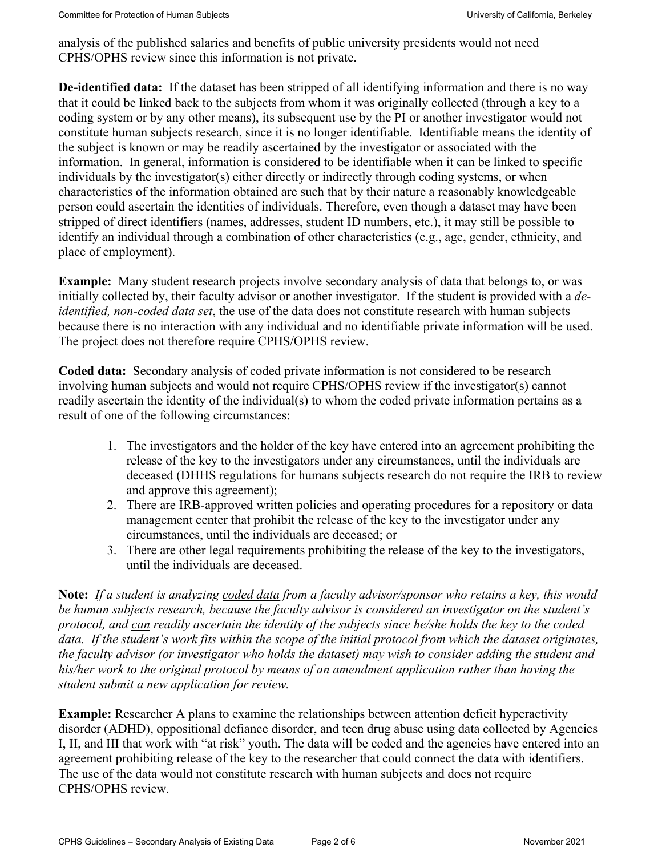analysis of the published salaries and benefits of public university presidents would not need CPHS/OPHS review since this information is not private.

**De-identified data:** If the dataset has been stripped of all identifying information and there is no way that it could be linked back to the subjects from whom it was originally collected (through a key to a coding system or by any other means), its subsequent use by the PI or another investigator would not constitute human subjects research, since it is no longer identifiable. Identifiable means the identity of the subject is known or may be readily ascertained by the investigator or associated with the information. In general, information is considered to be identifiable when it can be linked to specific individuals by the investigator(s) either directly or indirectly through coding systems, or when characteristics of the information obtained are such that by their nature a reasonably knowledgeable person could ascertain the identities of individuals. Therefore, even though a dataset may have been stripped of direct identifiers (names, addresses, student ID numbers, etc.), it may still be possible to identify an individual through a combination of other characteristics (e.g., age, gender, ethnicity, and place of employment).

**Example:** Many student research projects involve secondary analysis of data that belongs to, or was initially collected by, their faculty advisor or another investigator. If the student is provided with a *deidentified, non-coded data set*, the use of the data does not constitute research with human subjects because there is no interaction with any individual and no identifiable private information will be used. The project does not therefore require CPHS/OPHS review.

**Coded data:** Secondary analysis of coded private information is not considered to be research involving human subjects and would not require CPHS/OPHS review if the investigator(s) cannot readily ascertain the identity of the individual(s) to whom the coded private information pertains as a result of one of the following circumstances:

- 1. The investigators and the holder of the key have entered into an agreement prohibiting the release of the key to the investigators under any circumstances, until the individuals are deceased (DHHS regulations for humans subjects research do not require the IRB to review and approve this agreement);
- 2. There are IRB-approved written policies and operating procedures for a repository or data management center that prohibit the release of the key to the investigator under any circumstances, until the individuals are deceased; or
- 3. There are other legal requirements prohibiting the release of the key to the investigators, until the individuals are deceased.

**Note:** *If a student is analyzing coded data from a faculty advisor/sponsor who retains a key, this would be human subjects research, because the faculty advisor is considered an investigator on the student's protocol, and can readily ascertain the identity of the subjects since he/she holds the key to the coded data. If the student's work fits within the scope of the initial protocol from which the dataset originates, the faculty advisor (or investigator who holds the dataset) may wish to consider adding the student and his/her work to the original protocol by means of an amendment application rather than having the student submit a new application for review.*

**Example:** Researcher A plans to examine the relationships between attention deficit hyperactivity disorder (ADHD), oppositional defiance disorder, and teen drug abuse using data collected by Agencies I, II, and III that work with "at risk" youth. The data will be coded and the agencies have entered into an agreement prohibiting release of the key to the researcher that could connect the data with identifiers. The use of the data would not constitute research with human subjects and does not require CPHS/OPHS review.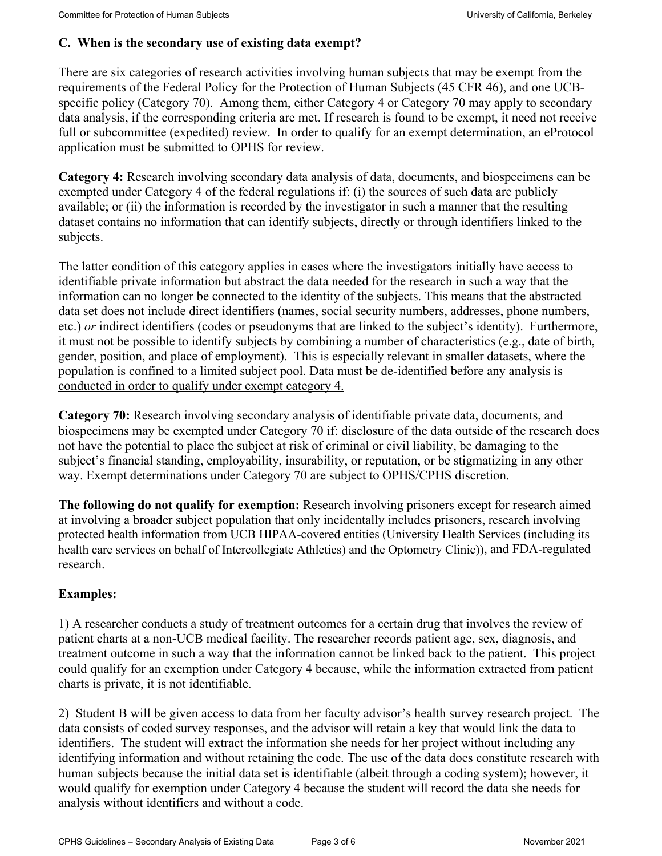#### <span id="page-2-0"></span>**C. When is the secondary use of existing data exempt?**

There are six categories of research activities involving human subjects that may be exempt from the requirements of the Federal Policy for the Protection of Human Subjects (45 CFR 46), and one UCBspecific policy (Category 70). Among them, either Category 4 or Category 70 may apply to secondary data analysis, if the corresponding criteria are met. If research is found to be exempt, it need not receive full or subcommittee (expedited) review. In order to qualify for an exempt determination, an eProtocol application must be submitted to OPHS for review.

**Category 4:** Research involving secondary data analysis of data, documents, and biospecimens can be exempted under Category 4 of the federal regulations if: (i) the sources of such data are publicly available; or (ii) the information is recorded by the investigator in such a manner that the resulting dataset contains no information that can identify subjects, directly or through identifiers linked to the subjects.

The latter condition of this category applies in cases where the investigators initially have access to identifiable private information but abstract the data needed for the research in such a way that the information can no longer be connected to the identity of the subjects. This means that the abstracted data set does not include direct identifiers (names, social security numbers, addresses, phone numbers, etc.) *or* indirect identifiers (codes or pseudonyms that are linked to the subject's identity). Furthermore, it must not be possible to identify subjects by combining a number of characteristics (e.g., date of birth, gender, position, and place of employment). This is especially relevant in smaller datasets, where the population is confined to a limited subject pool. Data must be de-identified before any analysis is conducted in order to qualify under exempt category 4.

**Category 70:** Research involving secondary analysis of identifiable private data, documents, and biospecimens may be exempted under Category 70 if: disclosure of the data outside of the research does not have the potential to place the subject at risk of criminal or civil liability, be damaging to the subject's financial standing, employability, insurability, or reputation, or be stigmatizing in any other way. Exempt determinations under Category 70 are subject to OPHS/CPHS discretion.

**The following do not qualify for exemption:** Research involving prisoners except for research aimed at involving a broader subject population that only incidentally includes prisoners, research involving protected health information from UCB HIPAA-covered entities (University Health Services (including its health care services on behalf of Intercollegiate Athletics) and the Optometry Clinic)), and FDA-regulated research.

## **Examples:**

1) A researcher conducts a study of treatment outcomes for a certain drug that involves the review of patient charts at a non-UCB medical facility. The researcher records patient age, sex, diagnosis, and treatment outcome in such a way that the information cannot be linked back to the patient. This project could qualify for an exemption under Category 4 because, while the information extracted from patient charts is private, it is not identifiable.

2) Student B will be given access to data from her faculty advisor's health survey research project. The data consists of coded survey responses, and the advisor will retain a key that would link the data to identifiers. The student will extract the information she needs for her project without including any identifying information and without retaining the code. The use of the data does constitute research with human subjects because the initial data set is identifiable (albeit through a coding system); however, it would qualify for exemption under Category 4 because the student will record the data she needs for analysis without identifiers and without a code.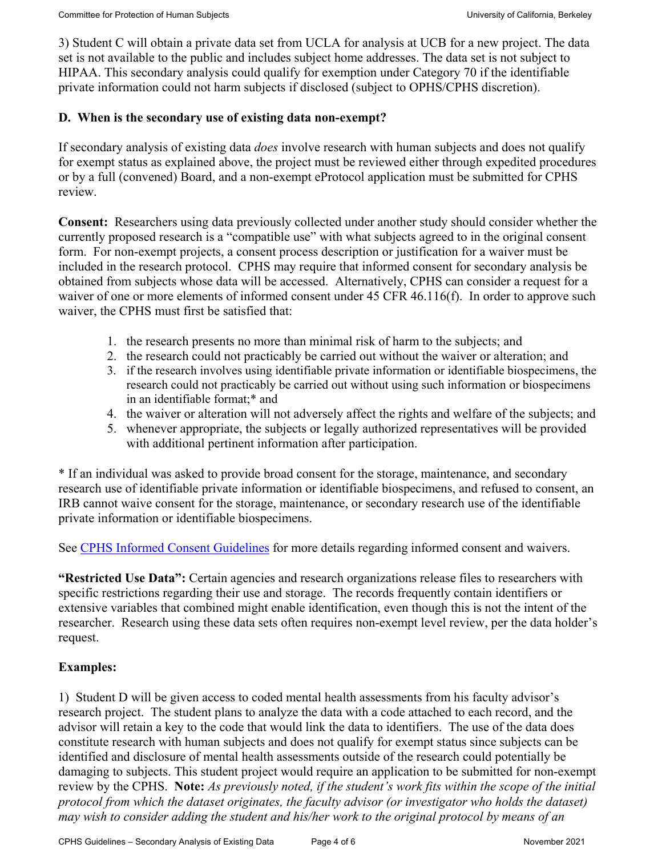3) Student C will obtain a private data set from UCLA for analysis at UCB for a new project. The data set is not available to the public and includes subject home addresses. The data set is not subject to HIPAA. This secondary analysis could qualify for exemption under Category 70 if the identifiable private information could not harm subjects if disclosed (subject to OPHS/CPHS discretion).

#### <span id="page-3-0"></span>**D. When is the secondary use of existing data non-exempt?**

If secondary analysis of existing data *does* involve research with human subjects and does not qualify for exempt status as explained above, the project must be reviewed either through expedited procedures or by a full (convened) Board, and a non-exempt eProtocol application must be submitted for CPHS review.

**Consent:** Researchers using data previously collected under another study should consider whether the currently proposed research is a "compatible use" with what subjects agreed to in the original consent form. For non-exempt projects, a consent process description or justification for a waiver must be included in the research protocol. CPHS may require that informed consent for secondary analysis be obtained from subjects whose data will be accessed. Alternatively, CPHS can consider a request for a waiver of one or more elements of informed consent under 45 CFR 46.116(f). In order to approve such waiver, the CPHS must first be satisfied that:

- 1. the research presents no more than minimal risk of harm to the subjects; and
- 2. the research could not practicably be carried out without the waiver or alteration; and
- 3. if the research involves using identifiable private information or identifiable biospecimens, the research could not practicably be carried out without using such information or biospecimens in an identifiable format;\* and
- 4. the waiver or alteration will not adversely affect the rights and welfare of the subjects; and
- 5. whenever appropriate, the subjects or legally authorized representatives will be provided with additional pertinent information after participation.

\* If an individual was asked to provide broad consent for the storage, maintenance, and secondary research use of identifiable private information or identifiable biospecimens, and refused to consent, an IRB cannot waive consent for the storage, maintenance, or secondary research use of the identifiable private information or identifiable biospecimens.

See [CPHS Informed Consent Guidelines](https://cphs.berkeley.edu/consent.pdf) for more details regarding informed consent and waivers.

**"Restricted Use Data":** Certain agencies and research organizations release files to researchers with specific restrictions regarding their use and storage. The records frequently contain identifiers or extensive variables that combined might enable identification, even though this is not the intent of the researcher. Research using these data sets often requires non-exempt level review, per the data holder's request.

## **Examples:**

1) Student D will be given access to coded mental health assessments from his faculty advisor's research project. The student plans to analyze the data with a code attached to each record, and the advisor will retain a key to the code that would link the data to identifiers. The use of the data does constitute research with human subjects and does not qualify for exempt status since subjects can be identified and disclosure of mental health assessments outside of the research could potentially be damaging to subjects. This student project would require an application to be submitted for non-exempt review by the CPHS. **Note:** *As previously noted, if the student's work fits within the scope of the initial protocol from which the dataset originates, the faculty advisor (or investigator who holds the dataset) may wish to consider adding the student and his/her work to the original protocol by means of an*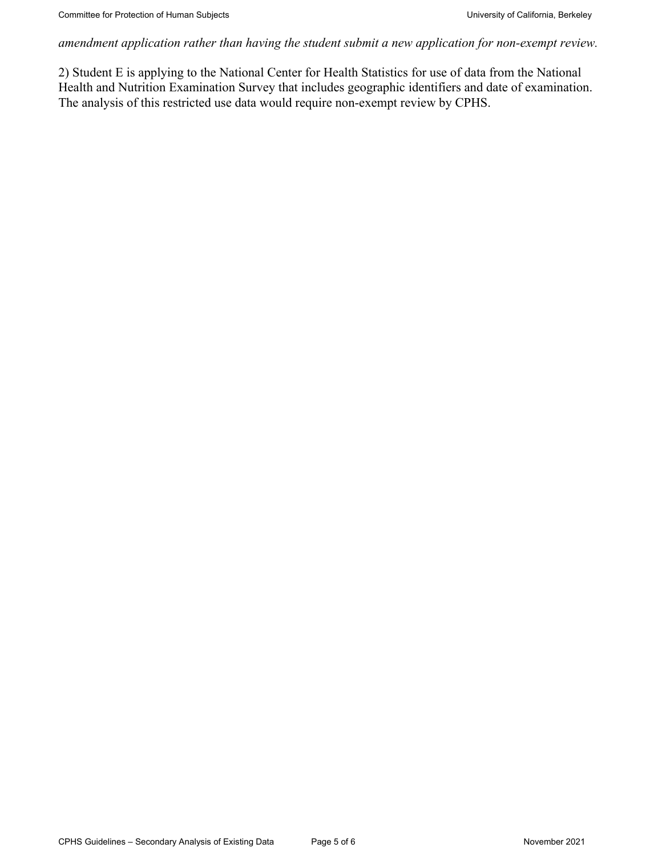*amendment application rather than having the student submit a new application for non-exempt review.*

2) Student E is applying to the National Center for Health Statistics for use of data from the National Health and Nutrition Examination Survey that includes geographic identifiers and date of examination. The analysis of this restricted use data would require non-exempt review by CPHS.